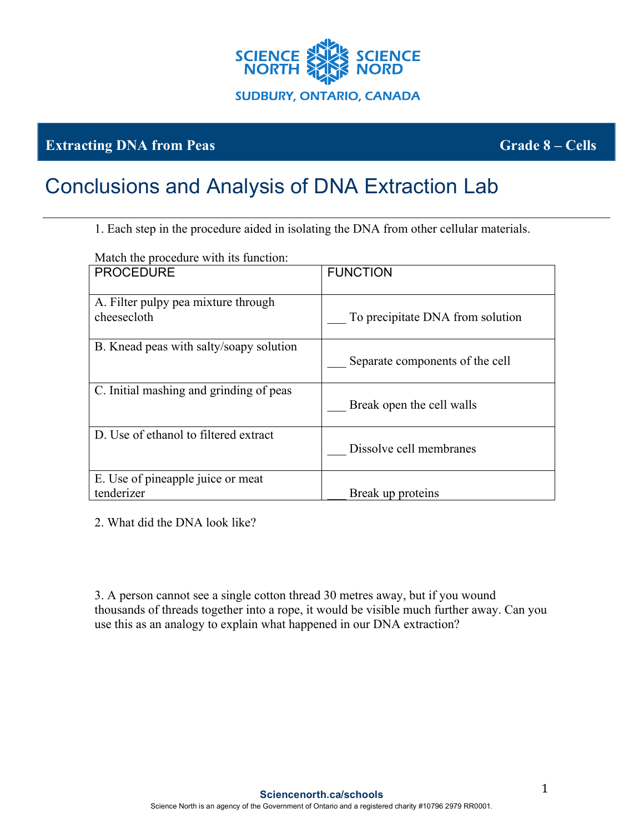

## **Extracting DNA from Peas Grade 8 – Cells**

## Conclusions and Analysis of DNA Extraction Lab

1. Each step in the procedure aided in isolating the DNA from other cellular materials.

| Match the procedure with its function:             |                                  |
|----------------------------------------------------|----------------------------------|
| <b>PROCEDURE</b>                                   | <b>FUNCTION</b>                  |
| A. Filter pulpy pea mixture through<br>cheesecloth | To precipitate DNA from solution |
| B. Knead peas with salty/soapy solution            | Separate components of the cell  |
| C. Initial mashing and grinding of peas            | Break open the cell walls        |
| D. Use of ethanol to filtered extract              | Dissolve cell membranes          |
| E. Use of pineapple juice or meat<br>tenderizer    | Break up proteins                |

2. What did the DNA look like?

3. A person cannot see a single cotton thread 30 metres away, but if you wound thousands of threads together into a rope, it would be visible much further away. Can you use this as an analogy to explain what happened in our DNA extraction?